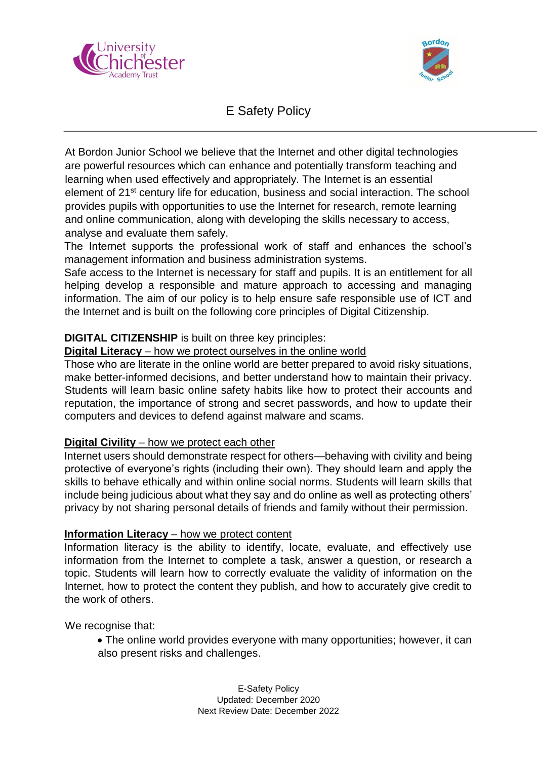



# E Safety Policy

At Bordon Junior School we believe that the Internet and other digital technologies are powerful resources which can enhance and potentially transform teaching and learning when used effectively and appropriately. The Internet is an essential element of 21st century life for education, business and social interaction. The school provides pupils with opportunities to use the Internet for research, remote learning and online communication, along with developing the skills necessary to access, analyse and evaluate them safely.

The Internet supports the professional work of staff and enhances the school's management information and business administration systems.

Safe access to the Internet is necessary for staff and pupils. It is an entitlement for all helping develop a responsible and mature approach to accessing and managing information. The aim of our policy is to help ensure safe responsible use of ICT and the Internet and is built on the following core principles of Digital Citizenship.

## **DIGITAL CITIZENSHIP** is built on three key principles:

## **Digital Literacy** – how we protect ourselves in the online world

Those who are literate in the online world are better prepared to avoid risky situations, make better-informed decisions, and better understand how to maintain their privacy. Students will learn basic online safety habits like how to protect their accounts and reputation, the importance of strong and secret passwords, and how to update their computers and devices to defend against malware and scams.

## **Digital Civility** – how we protect each other

Internet users should demonstrate respect for others—behaving with civility and being protective of everyone's rights (including their own). They should learn and apply the skills to behave ethically and within online social norms. Students will learn skills that include being judicious about what they say and do online as well as protecting others' privacy by not sharing personal details of friends and family without their permission.

### **Information Literacy** – how we protect content

Information literacy is the ability to identify, locate, evaluate, and effectively use information from the Internet to complete a task, answer a question, or research a topic. Students will learn how to correctly evaluate the validity of information on the Internet, how to protect the content they publish, and how to accurately give credit to the work of others.

We recognise that:

 The online world provides everyone with many opportunities; however, it can also present risks and challenges.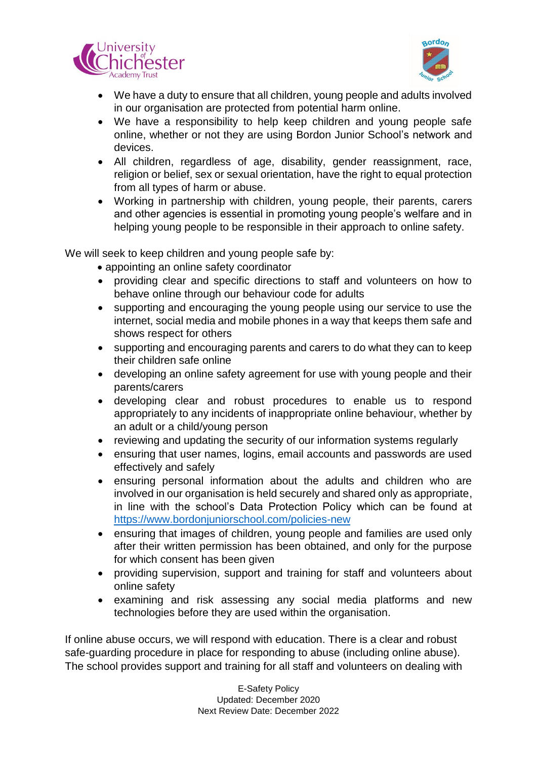



- We have a duty to ensure that all children, young people and adults involved in our organisation are protected from potential harm online.
- We have a responsibility to help keep children and young people safe online, whether or not they are using Bordon Junior School's network and devices.
- All children, regardless of age, disability, gender reassignment, race, religion or belief, sex or sexual orientation, have the right to equal protection from all types of harm or abuse.
- Working in partnership with children, young people, their parents, carers and other agencies is essential in promoting young people's welfare and in helping young people to be responsible in their approach to online safety.

We will seek to keep children and young people safe by:

- appointing an online safety coordinator
- providing clear and specific directions to staff and volunteers on how to behave online through our behaviour code for adults
- supporting and encouraging the young people using our service to use the internet, social media and mobile phones in a way that keeps them safe and shows respect for others
- supporting and encouraging parents and carers to do what they can to keep their children safe online
- developing an online safety agreement for use with young people and their parents/carers
- developing clear and robust procedures to enable us to respond appropriately to any incidents of inappropriate online behaviour, whether by an adult or a child/young person
- reviewing and updating the security of our information systems regularly
- ensuring that user names, logins, email accounts and passwords are used effectively and safely
- ensuring personal information about the adults and children who are involved in our organisation is held securely and shared only as appropriate, in line with the school's Data Protection Policy which can be found at <https://www.bordonjuniorschool.com/policies-new>
- ensuring that images of children, young people and families are used only after their written permission has been obtained, and only for the purpose for which consent has been given
- providing supervision, support and training for staff and volunteers about online safety
- examining and risk assessing any social media platforms and new technologies before they are used within the organisation.

If online abuse occurs, we will respond with education. There is a clear and robust safe-guarding procedure in place for responding to abuse (including online abuse). The school provides support and training for all staff and volunteers on dealing with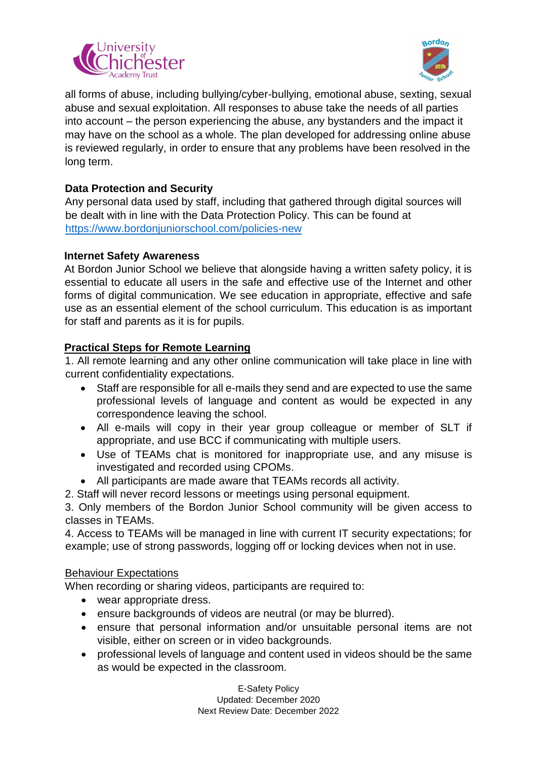



all forms of abuse, including bullying/cyber-bullying, emotional abuse, sexting, sexual abuse and sexual exploitation. All responses to abuse take the needs of all parties into account – the person experiencing the abuse, any bystanders and the impact it may have on the school as a whole. The plan developed for addressing online abuse is reviewed regularly, in order to ensure that any problems have been resolved in the long term.

## **Data Protection and Security**

Any personal data used by staff, including that gathered through digital sources will be dealt with in line with the Data Protection Policy. This can be found at <https://www.bordonjuniorschool.com/policies-new>

### **Internet Safety Awareness**

At Bordon Junior School we believe that alongside having a written safety policy, it is essential to educate all users in the safe and effective use of the Internet and other forms of digital communication. We see education in appropriate, effective and safe use as an essential element of the school curriculum. This education is as important for staff and parents as it is for pupils.

## **Practical Steps for Remote Learning**

1. All remote learning and any other online communication will take place in line with current confidentiality expectations.

- Staff are responsible for all e-mails they send and are expected to use the same professional levels of language and content as would be expected in any correspondence leaving the school.
- All e-mails will copy in their year group colleague or member of SLT if appropriate, and use BCC if communicating with multiple users.
- Use of TEAMs chat is monitored for inappropriate use, and any misuse is investigated and recorded using CPOMs.
- All participants are made aware that TEAMs records all activity.

2. Staff will never record lessons or meetings using personal equipment.

3. Only members of the Bordon Junior School community will be given access to classes in TEAMs.

4. Access to TEAMs will be managed in line with current IT security expectations; for example; use of strong passwords, logging off or locking devices when not in use.

## Behaviour Expectations

When recording or sharing videos, participants are required to:

- wear appropriate dress.
- ensure backgrounds of videos are neutral (or may be blurred).
- ensure that personal information and/or unsuitable personal items are not visible, either on screen or in video backgrounds.
- professional levels of language and content used in videos should be the same as would be expected in the classroom.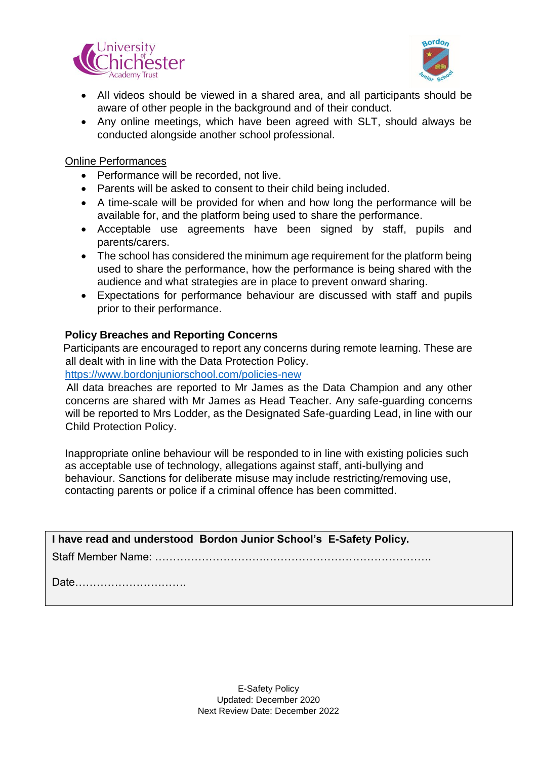



- All videos should be viewed in a shared area, and all participants should be aware of other people in the background and of their conduct.
- Any online meetings, which have been agreed with SLT, should always be conducted alongside another school professional.

#### Online Performances

- Performance will be recorded, not live.
- Parents will be asked to consent to their child being included.
- A time-scale will be provided for when and how long the performance will be available for, and the platform being used to share the performance.
- Acceptable use agreements have been signed by staff, pupils and parents/carers.
- The school has considered the minimum age requirement for the platform being used to share the performance, how the performance is being shared with the audience and what strategies are in place to prevent onward sharing.
- Expectations for performance behaviour are discussed with staff and pupils prior to their performance.

#### **Policy Breaches and Reporting Concerns**

 Participants are encouraged to report any concerns during remote learning. These are all dealt with in line with the Data Protection Policy.

<https://www.bordonjuniorschool.com/policies-new>

 All data breaches are reported to Mr James as the Data Champion and any other concerns are shared with Mr James as Head Teacher. Any safe-guarding concerns will be reported to Mrs Lodder, as the Designated Safe-guarding Lead, in line with our Child Protection Policy.

Inappropriate online behaviour will be responded to in line with existing policies such as acceptable use of technology, allegations against staff, anti-bullying and behaviour. Sanctions for deliberate misuse may include restricting/removing use, contacting parents or police if a criminal offence has been committed.

**I have read and understood Bordon Junior School's E-Safety Policy.**

Staff Member Name: ………………………….……………………………………….

Date………………………….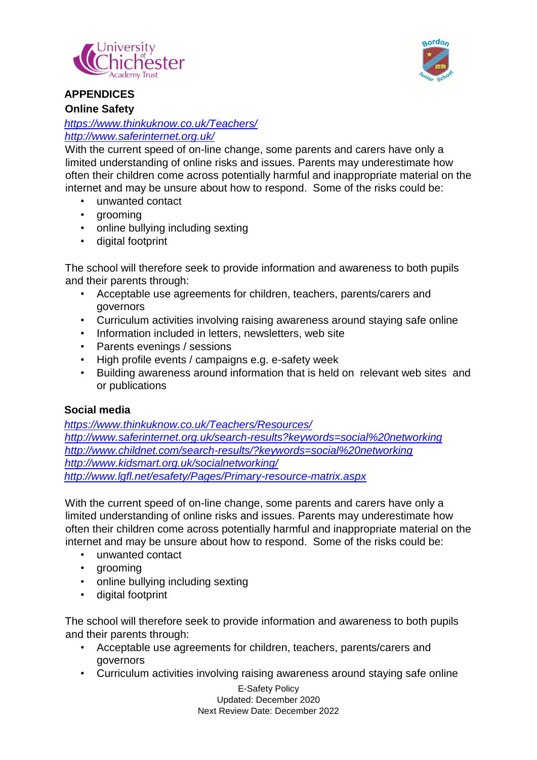



### **APPENDICES Online Safety**

## *<https://www.thinkuknow.co.uk/Teachers/> <http://www.saferinternet.org.uk/>*

With the current speed of on-line change, some parents and carers have only a limited understanding of online risks and issues. Parents may underestimate how often their children come across potentially harmful and inappropriate material on the internet and may be unsure about how to respond. Some of the risks could be:

- unwanted contact
- arooming
- online bullying including sexting
- digital footprint

The school will therefore seek to provide information and awareness to both pupils and their parents through:

- Acceptable use agreements for children, teachers, parents/carers and governors
- Curriculum activities involving raising awareness around staying safe online
- Information included in letters, newsletters, web site
- Parents evenings / sessions
- High profile events / campaigns e.g. e-safety week
- Building awareness around information that is held on relevant web sites and or publications

### **Social media**

*<https://www.thinkuknow.co.uk/Teachers/Resources/> http://www.saferinternet.org.uk/search-results?keywords=social%20networking http://www.childnet.com/search-results/?keywords=social%20networking http://www.kidsmart.org.uk/socialnetworking/ http://www.lgfl.net/esafety/Pages/Primary-resource-matrix.aspx*

With the current speed of on-line change, some parents and carers have only a limited understanding of online risks and issues. Parents may underestimate how often their children come across potentially harmful and inappropriate material on the internet and may be unsure about how to respond. Some of the risks could be:

- unwanted contact
- grooming
- online bullying including sexting
- digital footprint

The school will therefore seek to provide information and awareness to both pupils and their parents through:

- Acceptable use agreements for children, teachers, parents/carers and governors
- Curriculum activities involving raising awareness around staying safe online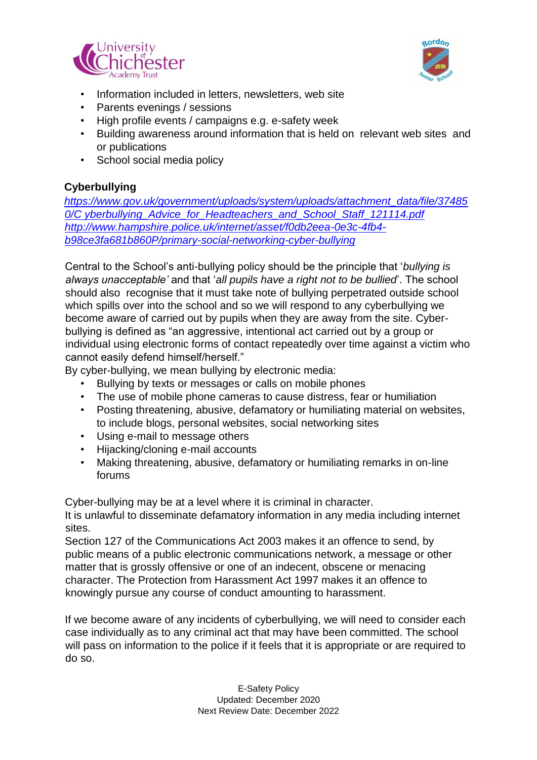



- Information included in letters, newsletters, web site
- Parents evenings / sessions
- High profile events / campaigns e.g. e-safety week
- Building awareness around information that is held on relevant web sites and or publications
- School social media policy

## **Cyberbullying**

*[https://www.gov.uk/government/uploads/system/uploads/attachment\\_data/file/37485](https://www.gov.uk/government/uploads/system/uploads/attachment_data/file/374850/Cyberbullying_Advice_for_Headteachers_and_School_Staff_121114.pdf) [0/C yberbullying\\_Advice\\_for\\_Headteachers\\_and\\_School\\_Staff\\_121114.pdf](https://www.gov.uk/government/uploads/system/uploads/attachment_data/file/374850/Cyberbullying_Advice_for_Headteachers_and_School_Staff_121114.pdf) [http://www.hampshire.police.uk/internet/asset/f0db2eea-0e3c-4fb4](http://www.hampshire.police.uk/internet/asset/f0db2eea-0e3c-4fb4-b98c-e3fa681b860P/primary-social-networking-cyber-bullying) [b98ce3fa681b860P/primary-social-networking-cyber-bullying](http://www.hampshire.police.uk/internet/asset/f0db2eea-0e3c-4fb4-b98c-e3fa681b860P/primary-social-networking-cyber-bullying)*

Central to the School's anti-bullying policy should be the principle that '*bullying is always unacceptable'* and that '*all pupils have a right not to be bullied*'. The school should also recognise that it must take note of bullying perpetrated outside school which spills over into the school and so we will respond to any cyberbullying we become aware of carried out by pupils when they are away from the site. Cyberbullying is defined as "an aggressive, intentional act carried out by a group or individual using electronic forms of contact repeatedly over time against a victim who cannot easily defend himself/herself."

By cyber-bullying, we mean bullying by electronic media:

- Bullying by texts or messages or calls on mobile phones
- The use of mobile phone cameras to cause distress, fear or humiliation
- Posting threatening, abusive, defamatory or humiliating material on websites, to include blogs, personal websites, social networking sites
- Using e-mail to message others
- Hijacking/cloning e-mail accounts
- Making threatening, abusive, defamatory or humiliating remarks in on-line forums

Cyber-bullying may be at a level where it is criminal in character.

It is unlawful to disseminate defamatory information in any media including internet sites.

Section 127 of the Communications Act 2003 makes it an offence to send, by public means of a public electronic communications network, a message or other matter that is grossly offensive or one of an indecent, obscene or menacing character. The Protection from Harassment Act 1997 makes it an offence to knowingly pursue any course of conduct amounting to harassment.

If we become aware of any incidents of cyberbullying, we will need to consider each case individually as to any criminal act that may have been committed. The school will pass on information to the police if it feels that it is appropriate or are required to do so.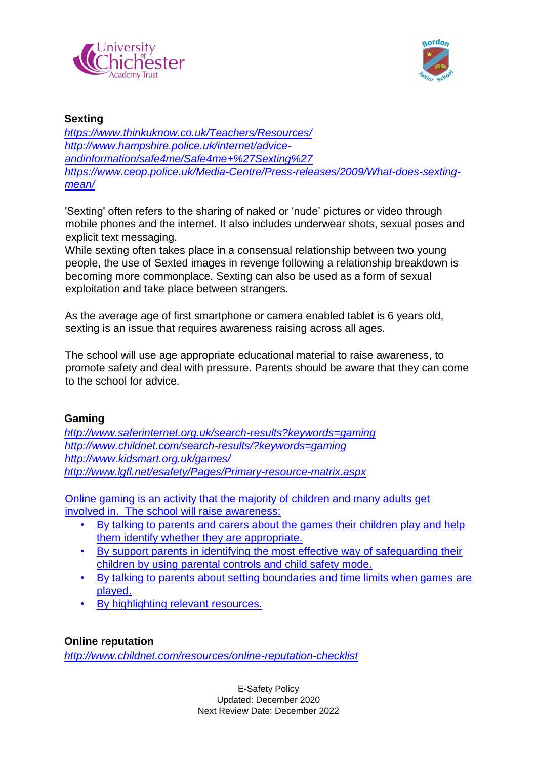



### **Sexting**

*<https://www.thinkuknow.co.uk/Teachers/Resources/> [http://www.hampshire.police.uk/internet/advice](http://www.hampshire.police.uk/internet/advice-and-information/safe4me/Safe4me+%27Sexting%27)[andinformation/safe4me/Safe4me+%27Sexting%27](http://www.hampshire.police.uk/internet/advice-and-information/safe4me/Safe4me+%27Sexting%27) [https://www.ceop.police.uk/Media-Centre/Press-releases/2009/What-does-sexting](https://www.ceop.police.uk/Media-Centre/Press-releases/2009/What-does-sexting-mean/)[mean/](https://www.ceop.police.uk/Media-Centre/Press-releases/2009/What-does-sexting-mean/)*

'Sexting' often refers to the sharing of naked or 'nude' pictures or video through mobile phones and the internet. It also includes underwear shots, sexual poses and explicit text messaging.

While sexting often takes place in a consensual relationship between two young people, the use of Sexted images in revenge following a relationship breakdown is becoming more commonplace. Sexting can also be used as a form of sexual exploitation and take place between strangers.

As the average age of first smartphone or camera enabled tablet is 6 years old, sexting is an issue that requires awareness raising across all ages.

The school will use age appropriate educational material to raise awareness, to promote safety and deal with pressure. Parents should be aware that they can come to the school for advice.

### **Gaming**

*<http://www.saferinternet.org.uk/search-results?keywords=gaming> <http://www.childnet.com/search-results/?keywords=gaming> <http://www.kidsmart.org.uk/games/> <http://www.lgfl.net/esafety/Pages/Primary-resource-matrix.aspx>*

Online gaming is an activity that the majority of children and many adults get involved in. The school will raise awareness:

- By talking to parents and carers about the games their children play and help them identify whether they are appropriate.
- By support parents in identifying the most effective way of safeguarding their children by using parental controls and child safety mode.
- By talking to parents about setting boundaries and time limits when games are played.
- By highlighting relevant resources.

## **Online reputation**

*<http://www.childnet.com/resources/online-reputation-checklist>*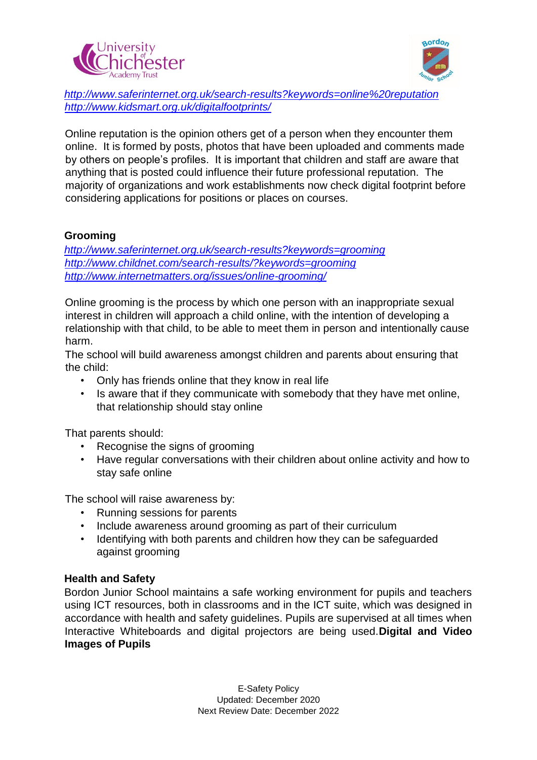



*<http://www.saferinternet.org.uk/search-results?keywords=online%20reputation> <http://www.kidsmart.org.uk/digitalfootprints/>*

Online reputation is the opinion others get of a person when they encounter them online. It is formed by posts, photos that have been uploaded and comments made by others on people's profiles. It is important that children and staff are aware that anything that is posted could influence their future professional reputation. The majority of organizations and work establishments now check digital footprint before considering applications for positions or places on courses.

### **Grooming**

*<http://www.saferinternet.org.uk/search-results?keywords=grooming> <http://www.childnet.com/search-results/?keywords=grooming> <http://www.internetmatters.org/issues/online-grooming/>*

Online grooming is the process by which one person with an inappropriate sexual interest in children will approach a child online, with the intention of developing a relationship with that child, to be able to meet them in person and intentionally cause harm.

The school will build awareness amongst children and parents about ensuring that the child:

- Only has friends online that they know in real life
- Is aware that if they communicate with somebody that they have met online, that relationship should stay online

That parents should:

- Recognise the signs of grooming
- Have regular conversations with their children about online activity and how to stay safe online

The school will raise awareness by:

- Running sessions for parents
- Include awareness around grooming as part of their curriculum
- Identifying with both parents and children how they can be safeguarded against grooming

### **Health and Safety**

Bordon Junior School maintains a safe working environment for pupils and teachers using ICT resources, both in classrooms and in the ICT suite, which was designed in accordance with health and safety guidelines. Pupils are supervised at all times when Interactive Whiteboards and digital projectors are being used.**Digital and Video Images of Pupils**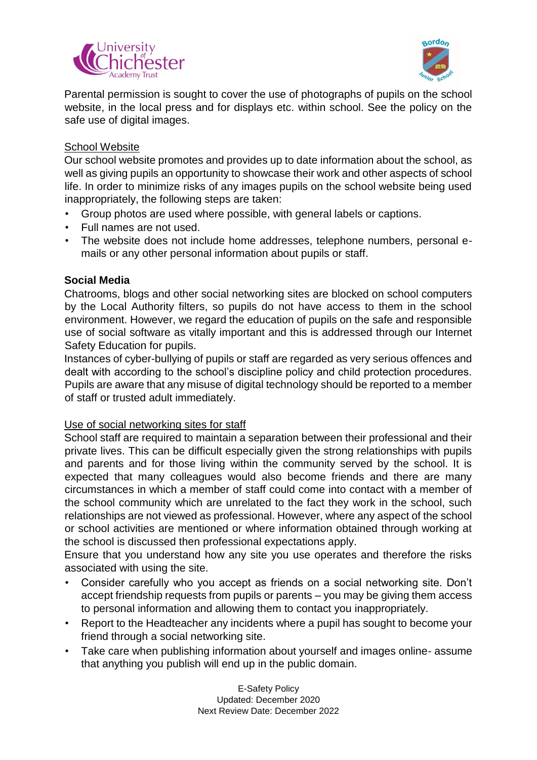



Parental permission is sought to cover the use of photographs of pupils on the school website, in the local press and for displays etc. within school. See the policy on the safe use of digital images.

### School Website

Our school website promotes and provides up to date information about the school, as well as giving pupils an opportunity to showcase their work and other aspects of school life. In order to minimize risks of any images pupils on the school website being used inappropriately, the following steps are taken:

- Group photos are used where possible, with general labels or captions.
- Full names are not used.
- The website does not include home addresses, telephone numbers, personal emails or any other personal information about pupils or staff.

### **Social Media**

Chatrooms, blogs and other social networking sites are blocked on school computers by the Local Authority filters, so pupils do not have access to them in the school environment. However, we regard the education of pupils on the safe and responsible use of social software as vitally important and this is addressed through our Internet Safety Education for pupils.

Instances of cyber-bullying of pupils or staff are regarded as very serious offences and dealt with according to the school's discipline policy and child protection procedures. Pupils are aware that any misuse of digital technology should be reported to a member of staff or trusted adult immediately.

### Use of social networking sites for staff

School staff are required to maintain a separation between their professional and their private lives. This can be difficult especially given the strong relationships with pupils and parents and for those living within the community served by the school. It is expected that many colleagues would also become friends and there are many circumstances in which a member of staff could come into contact with a member of the school community which are unrelated to the fact they work in the school, such relationships are not viewed as professional. However, where any aspect of the school or school activities are mentioned or where information obtained through working at the school is discussed then professional expectations apply.

Ensure that you understand how any site you use operates and therefore the risks associated with using the site.

- Consider carefully who you accept as friends on a social networking site. Don't accept friendship requests from pupils or parents – you may be giving them access to personal information and allowing them to contact you inappropriately.
- Report to the Headteacher any incidents where a pupil has sought to become your friend through a social networking site.
- Take care when publishing information about yourself and images online- assume that anything you publish will end up in the public domain.